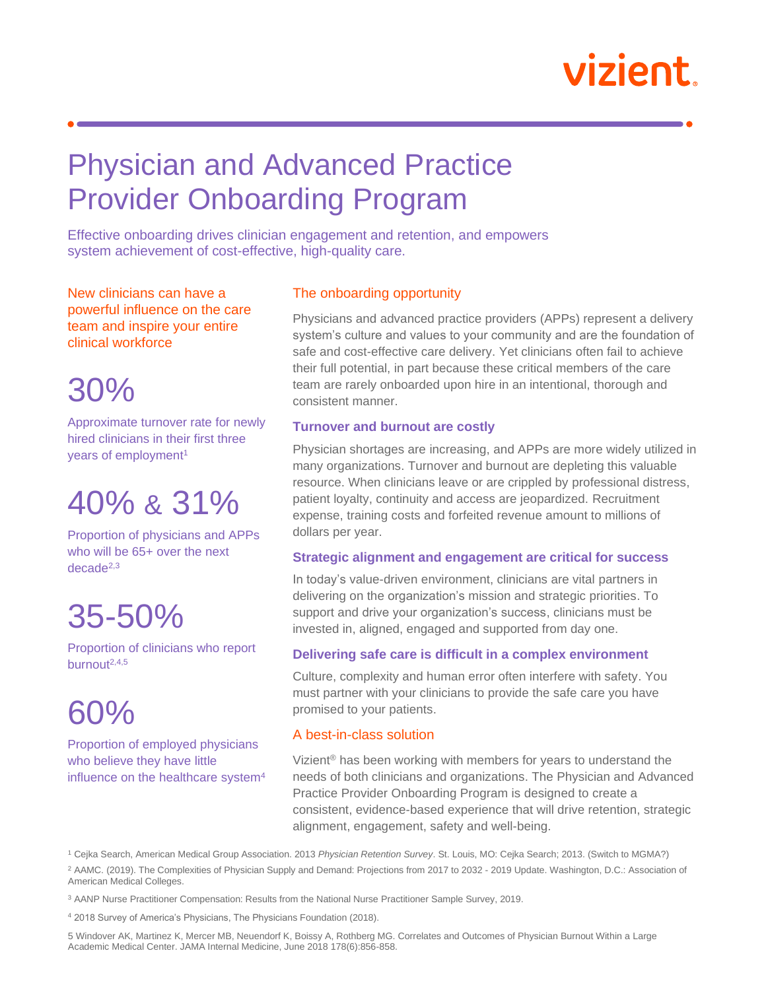# vizient.

### Physician and Advanced Practice Provider Onboarding Program

Effective onboarding drives clinician engagement and retention, and empowers system achievement of cost-effective, high-quality care.

New clinicians can have a powerful influence on the care team and inspire your entire clinical workforce

30%

Approximate turnover rate for newly hired clinicians in their first three years of employment<sup>1</sup>

## 40% & 31%

Proportion of physicians and APPs who will be 65+ over the next decade2,3

# 35-50%

Proportion of clinicians who report burnout $2,4,5$ 

# 60%

Proportion of employed physicians who believe they have little influence on the healthcare system<sup>4</sup>

### The onboarding opportunity

Physicians and advanced practice providers (APPs) represent a delivery system's culture and values to your community and are the foundation of safe and cost-effective care delivery. Yet clinicians often fail to achieve their full potential, in part because these critical members of the care team are rarely onboarded upon hire in an intentional, thorough and consistent manner.

#### **Turnover and burnout are costly**

Physician shortages are increasing, and APPs are more widely utilized in many organizations. Turnover and burnout are depleting this valuable resource. When clinicians leave or are crippled by professional distress, patient loyalty, continuity and access are jeopardized. Recruitment expense, training costs and forfeited revenue amount to millions of dollars per year.

#### **Strategic alignment and engagement are critical for success**

In today's value-driven environment, clinicians are vital partners in delivering on the organization's mission and strategic priorities. To support and drive your organization's success, clinicians must be invested in, aligned, engaged and supported from day one.

### **Delivering safe care is difficult in a complex environment**

Culture, complexity and human error often interfere with safety. You must partner with your clinicians to provide the safe care you have promised to your patients.

### A best-in-class solution

Vizient® has been working with members for years to understand the needs of both clinicians and organizations. The Physician and Advanced Practice Provider Onboarding Program is designed to create a consistent, evidence-based experience that will drive retention, strategic alignment, engagement, safety and well-being.

<sup>1</sup> Cejka Search, American Medical Group Association. 2013 *Physician Retention Survey*. St. Louis, MO: Cejka Search; 2013. (Switch to MGMA?) <sup>2</sup> AAMC. (2019). The Complexities of Physician Supply and Demand: Projections from 2017 to 2032 - 2019 Update. Washington, D.C.: Association of American Medical Colleges.

<sup>3</sup> AANP Nurse Practitioner Compensation: Results from the National Nurse Practitioner Sample Survey, 2019.

<sup>4</sup> 2018 Survey of America's Physicians, The Physicians Foundation (2018).

Academic Medical Center. JAMA Internal Medicine, June 2018 178(6):856-858. 5 Windover AK, Martinez K, Mercer MB, Neuendorf K, Boissy A, Rothberg MG. Correlates and Outcomes of Physician Burnout Within a Large